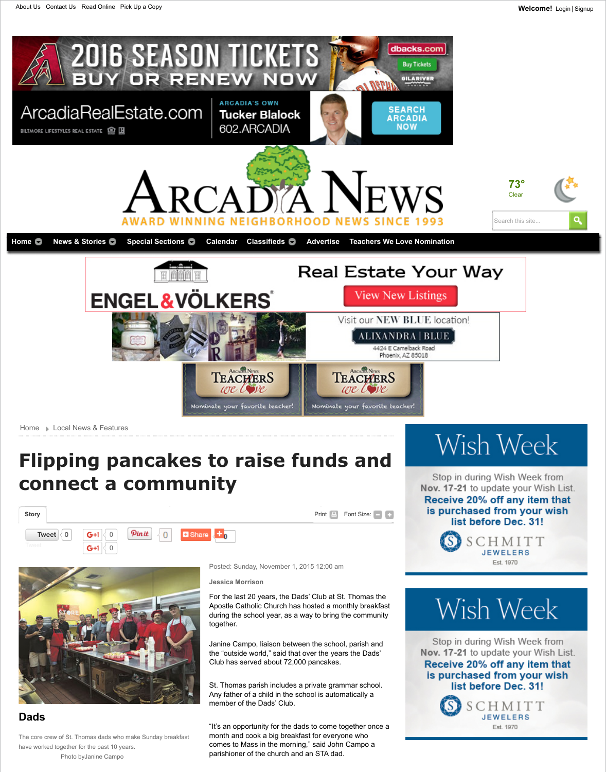



Home Local News & Features

## **[Flipping pan](http://www.arcadianews.com/)cakes to raise funds and connect a community**





## **[Dads](http://www.arcadianews.com/)**

The core crew of St. Thomas dads who make Sunday breakfast have worked together for the past 10 years.

Posted: Sunday, November 1, 2015 12:00 am

**Jessica Morrison**

For the last 20 years, the Dads' Club at St. Thoma Apostle Catholic Church has hosted a monthly bre during the school year, as a way to bring the comm together.

Janine Campo, liaison between the school, parish the "outside world," said that over the years the Da Club has served about 72,000 pancakes.

St. Thomas parish includes a private grammar school. Any father of a child in the school is automatically member of the Dads' Club.

"It's an opportunity for the dads to come together on month and cook a big breakfast for everyone who comes to Mass in the morning," said John Campo parishioner of the church and an STA dad.

Photo byJanine Campo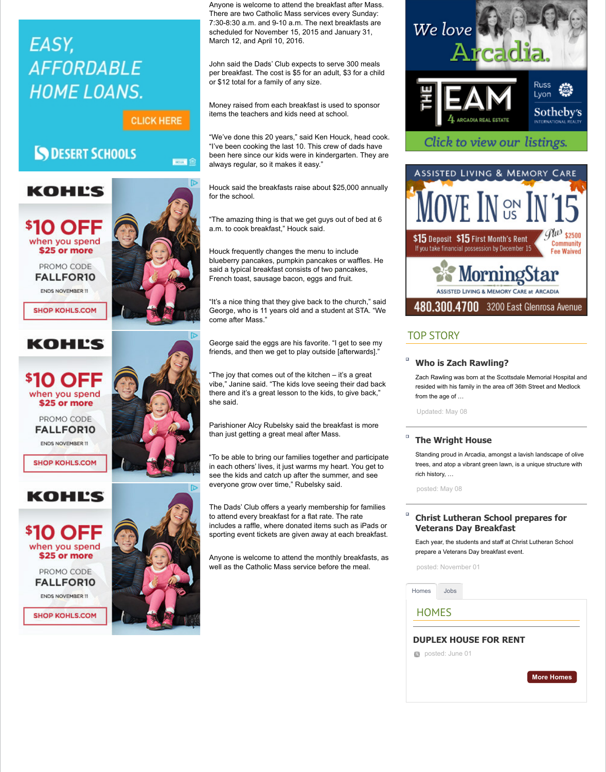





PROMO CODE **FALLFOR10** 

**ENDS NOVEMBER 11** 







PROMO CODE **FALLFOR10** 

ENDS NOVEMBER 11









"It's a nice thing that they give back to the church," George, who is 11 years old and a student at STA. come after Mass."

George said the eggs are his favorite. "I get to see friends, and then we get to play outside [afterward

"The joy that comes out of the kitchen – it's a grea vibe," Janine said. "The kids love seeing their dad there and it's a great lesson to the kids, to give back she said.

Parishioner Alcy Rubelsky said the breakfast is mo than just getting a great meal after Mass.

"To be able to bring our families together and parti in each others' lives, it just warms my heart. You g see the kids and catch up after the summer, and s everyone grow over time," Rubelsky said.

The Dads' Club offers a yearly membership for fan to attend every breakfast for a flat rate. The rate includes a raffle, where donated items such as iPa sporting event tickets are given away at each break

Anyone is welcome to attend the monthly breakfast well as the Catholic Mass service before the meal.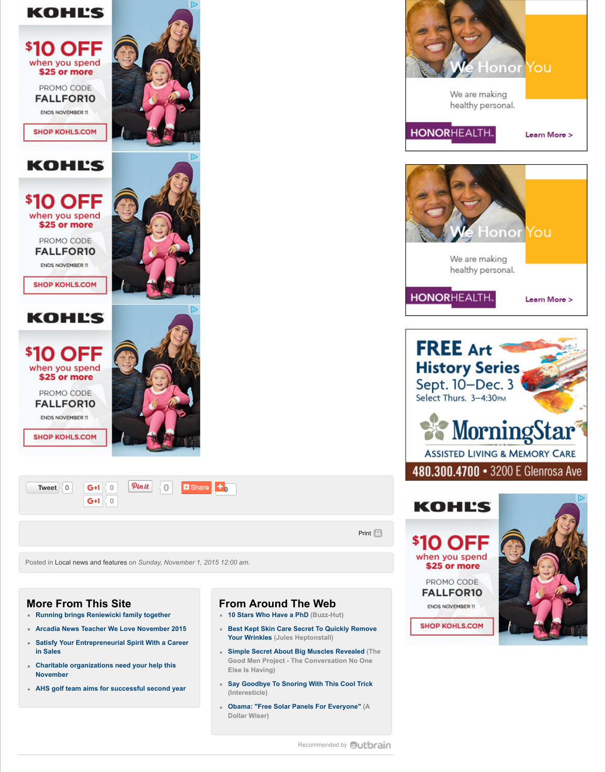



[Posted in Local news and features](http://r1.ace.advertising.com/click/site=769562/mnum=2156680/cstr=58124826=_564008ab_5670547043_769562*2156680*1184*0_1_/xsxdata=$XSXDATA/imptid=AS40195494ddd54aa8932fd3005923e037/bnum=58124826/optn=64?trg=https://ad.doubleclick.net/ddm/trackclk/N4637.272756.AOL-ADVERTISING/B8920090.120988244;dc_trk_aid=294308641;dc_trk_cid=64710161) on *Sunday, November 1, 2015 12:00 am.*

## **[More From This Site](http://r1.ace.advertising.com/click/site=769562/mnum=2156680/cstr=58124826=_564008ab_5670547043_769562*2156680*1184*0_1_/xsxdata=$XSXDATA/imptid=AS40195494ddd54aa8932fd3005923e037/bnum=58124826/optn=64?trg=https://ad.doubleclick.net/ddm/trackclk/N4637.272756.AOL-ADVERTISING/B8920090.120988244;dc_trk_aid=294308641;dc_trk_cid=64710161)**

- **Running brings Reniewicki family together**
- **Arcadia News Teacher We Love November 2015**
- **Satisfy Your Entrepreneurial Spirit With a Career in Sales**
- **Charitable organizations need your help this November**
- **AHS golf team aims for successful second year**

## **From Around The Web**

- **10 Stars Who Have a PhD (Buzz-Hut)**
- **Best Kept Skin Care Secret To Quickly Remove Your Wrinkles (Jules Heptonstall)**
- **simple Secret About Big Muscles Revealed** ( **Good Men Project - The Conversation No One Else Is Having)**
- **Say Goodbye To Snoring With This Cool Trick (Interesticle)**
- **Obama: "Free Solar Panels For Everyone" (A Dollar Wiser)**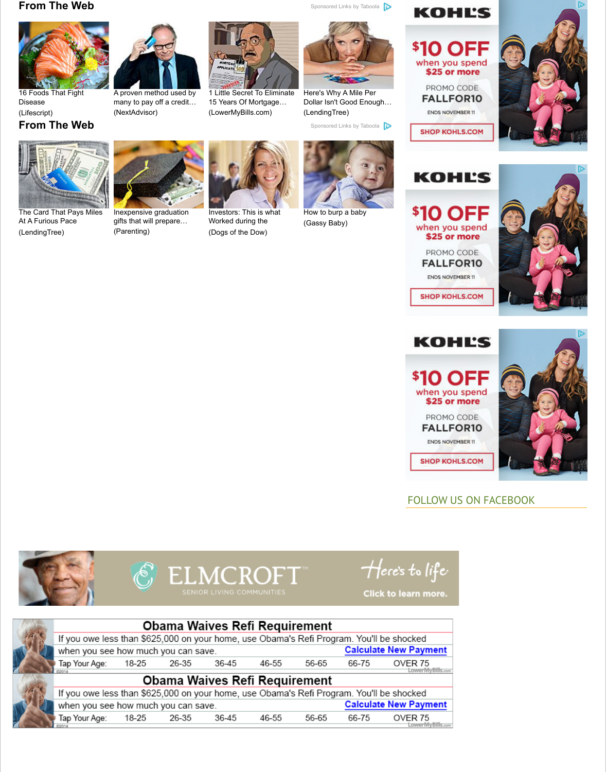

|  | <b>Obama Waives Refi Requirement</b>                                       |       |       |       |       |       |       |
|--|----------------------------------------------------------------------------|-------|-------|-------|-------|-------|-------|
|  | If you owe less than \$625,000 on your home, use Obama's Refi Program. You |       |       |       |       |       |       |
|  | Calcu<br>when you see how much you can save.                               |       |       |       |       |       |       |
|  | Tap Your Age:                                                              | 18-25 | 26-35 | 36-45 | 46-55 | 56-65 | 66-75 |
|  | <b>Obama Waives Refi Requirement</b>                                       |       |       |       |       |       |       |
|  |                                                                            |       |       |       |       |       |       |
|  | If you owe less than \$625,000 on your home, use Obama's Refi Program. You |       |       |       |       |       |       |
|  | when you see how much you can save.                                        |       |       |       |       |       | Calcu |
|  | Tap Your Age:                                                              | 18-25 | 26-35 | 36-45 | 46-55 | 56-65 | 66-75 |